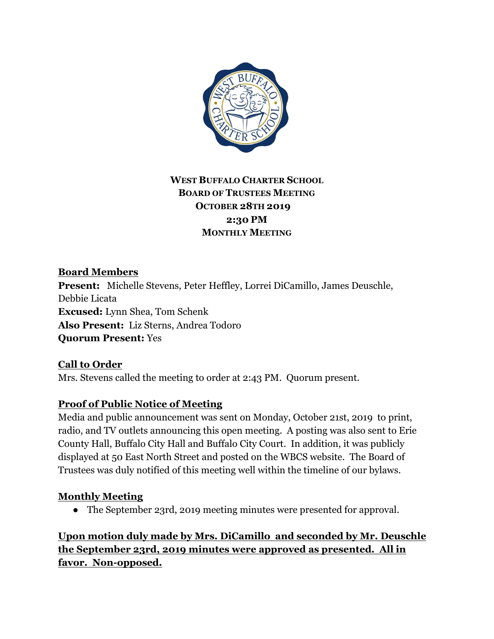

## **WEST BUFFALO CHARTER SCHOOL BOARD OF TRUSTEES MEETING OCTOBER 28TH 2019 2:30 PM MONTHLY MEETING**

## **Board Members**

**Present:** Michelle Stevens, Peter Heffley, Lorrei DiCamillo, James Deuschle, Debbie Licata **Excused:** Lynn Shea, Tom Schenk **Also Present:** Liz Sterns, Andrea Todoro **Quorum Present:** Yes

# **Call to Order**

Mrs. Stevens called the meeting to order at 2:43 PM. Quorum present.

## **Proof of Public Notice of Meeting**

Media and public announcement was sent on Monday, October 21st, 2019 to print, radio, and TV outlets announcing this open meeting. A posting was also sent to Erie County Hall, Buffalo City Hall and Buffalo City Court. In addition, it was publicly displayed at 50 East North Street and posted on the WBCS website. The Board of Trustees was duly notified of this meeting well within the timeline of our bylaws.

### **Monthly Meeting**

• The September 23rd, 2019 meeting minutes were presented for approval.

## **Upon motion duly made by Mrs. DiCamillo and seconded by Mr. Deuschle the September 23rd, 2019 minutes were approved as presented. All in favor. Non-opposed.**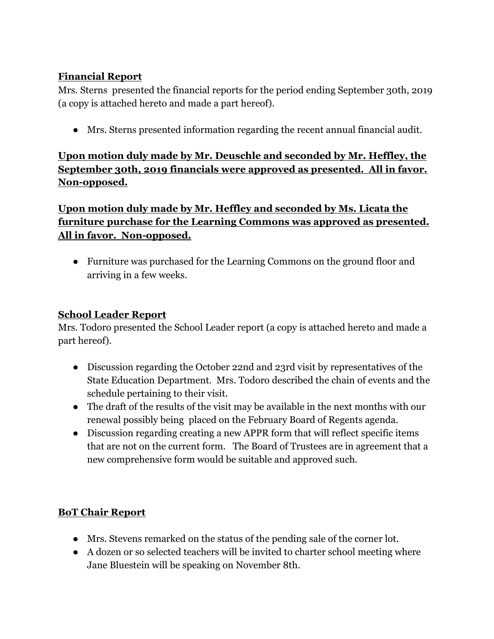### **Financial Report**

Mrs. Sterns presented the financial reports for the period ending September 30th, 2019 (a copy is attached hereto and made a part hereof).

● Mrs. Sterns presented information regarding the recent annual financial audit.

**Upon motion duly made by Mr. Deuschle and seconded by Mr. Heffley, the September 30th, 2019 financials were approved as presented. All in favor. Non-opposed.**

**Upon motion duly made by Mr. Heffley and seconded by Ms. Licata the furniture purchase for the Learning Commons was approved as presented. All in favor. Non-opposed.**

• Furniture was purchased for the Learning Commons on the ground floor and arriving in a few weeks.

### **School Leader Report**

Mrs. Todoro presented the School Leader report (a copy is attached hereto and made a part hereof).

- Discussion regarding the October 22nd and 23rd visit by representatives of the State Education Department. Mrs. Todoro described the chain of events and the schedule pertaining to their visit.
- The draft of the results of the visit may be available in the next months with our renewal possibly being placed on the February Board of Regents agenda.
- Discussion regarding creating a new APPR form that will reflect specific items that are not on the current form. The Board of Trustees are in agreement that a new comprehensive form would be suitable and approved such.

# **BoT Chair Report**

- Mrs. Stevens remarked on the status of the pending sale of the corner lot.
- A dozen or so selected teachers will be invited to charter school meeting where Jane Bluestein will be speaking on November 8th.